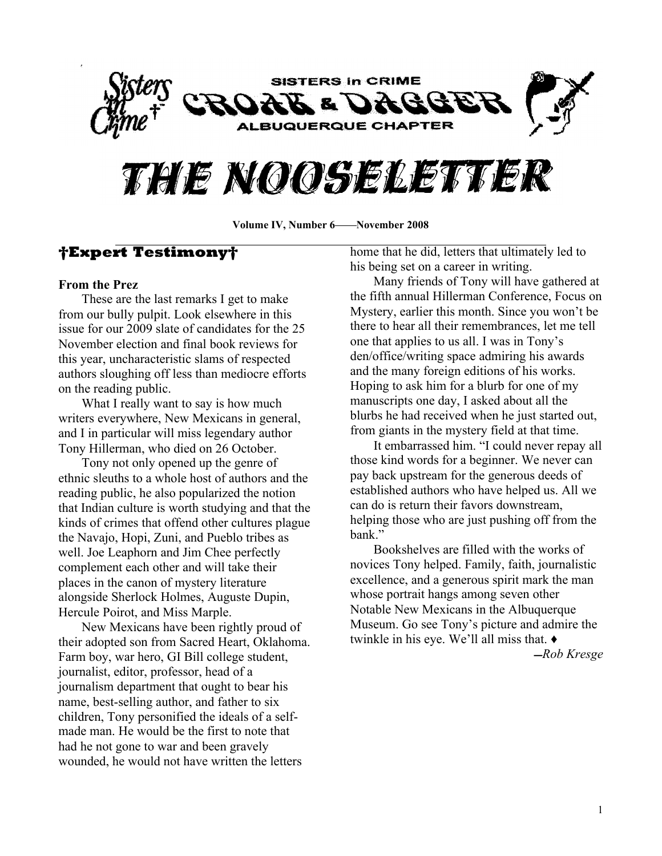

# THE NOOSELETTER

Volume IV, Number 6**—**November 2008

## **Expert Testimony**

#### **From the Prez**

These are the last remarks I get to make from our bully pulpit. Look elsewhere in this issue for our 2009 slate of candidates for the 25 November election and final book reviews for this year, uncharacteristic slams of respected authors sloughing off less than mediocre efforts on the reading public.

What I really want to say is how much writers everywhere, New Mexicans in general, and I in particular will miss legendary author Tony Hillerman, who died on 26 October.

Tony not only opened up the genre of ethnic sleuths to a whole host of authors and the reading public, he also popularized the notion that Indian culture is worth studying and that the kinds of crimes that offend other cultures plague the Navajo, Hopi, Zuni, and Pueblo tribes as well. Joe Leaphorn and Jim Chee perfectly complement each other and will take their places in the canon of mystery literature alongside Sherlock Holmes, Auguste Dupin, Hercule Poirot, and Miss Marple.

New Mexicans have been rightly proud of their adopted son from Sacred Heart, Oklahoma. Farm boy, war hero, GI Bill college student, journalist, editor, professor, head of a journalism department that ought to bear his name, best-selling author, and father to six children, Tony personified the ideals of a selfmade man. He would be the first to note that had he not gone to war and been gravely wounded, he would not have written the letters

home that he did, letters that ultimately led to his being set on a career in writing.

Many friends of Tony will have gathered at the fifth annual Hillerman Conference, Focus on Mystery, earlier this month. Since you won't be there to hear all their remembrances, let me tell one that applies to us all. I was in Tony's den/office/writing space admiring his awards and the many foreign editions of his works. Hoping to ask him for a blurb for one of my manuscripts one day, I asked about all the blurbs he had received when he just started out, from giants in the mystery field at that time.

It embarrassed him. "I could never repay all those kind words for a beginner. We never can pay back upstream for the generous deeds of established authors who have helped us. All we can do is return their favors downstream, helping those who are just pushing off from the hank<sup>"</sup>

Bookshelves are filled with the works of novices Tony helped. Family, faith, journalistic excellence, and a generous spirit mark the man whose portrait hangs among seven other Notable New Mexicans in the Albuquerque Museum. Go see Tony's picture and admire the twinkle in his eye. We'll all miss that.  $\triangleleft$ 

̛*Rob Kresge*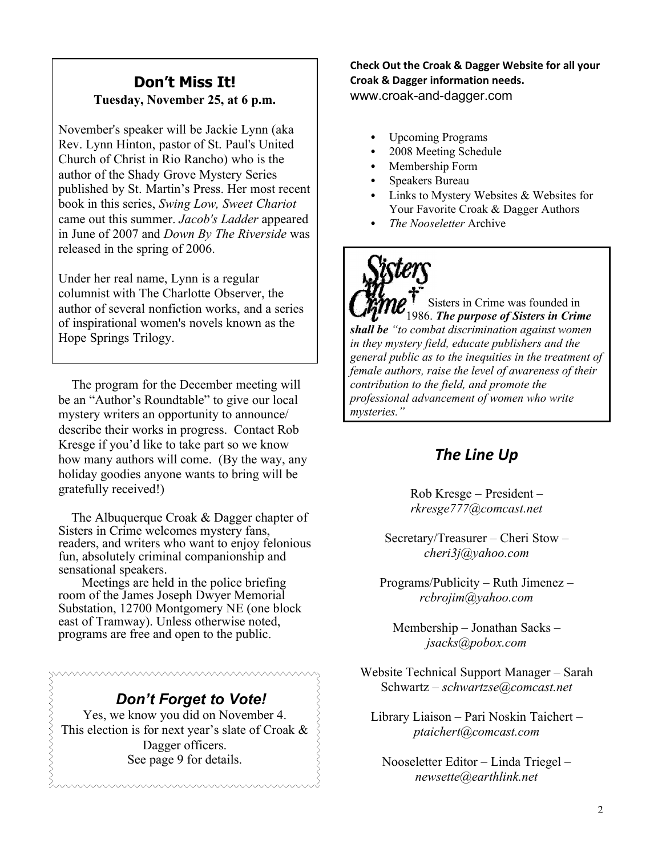# **Don¶t Miss It! Tuesday, November 25, at 6 p.m.**

November's speaker will be Jackie Lynn (aka Rev. Lynn Hinton, pastor of St. Paul's United Church of Christ in Rio Rancho) who is the author of the Shady Grove Mystery Series published by St. Martin's Press. Her most recent book in this series, *Swing Low, Sweet Chariot* came out this summer. *Jacob's Ladder* appeared in June of 2007 and *Down By The Riverside* was released in the spring of 2006.

Under her real name, Lynn is a regular columnist with The Charlotte Observer, the author of several nonfiction works, and a series of inspirational women's novels known as the Hope Springs Trilogy.

 The program for the December meeting will be an "Author's Roundtable" to give our local mystery writers an opportunity to announce/ describe their works in progress. Contact Rob Kresge if you'd like to take part so we know how many authors will come. (By the way, any holiday goodies anyone wants to bring will be gratefully received!)

The Albuquerque Croak & Dagger chapter of Sisters in Crime welcomes mystery fans, readers, and writers who want to enjoy felonious fun, absolutely criminal companionship and sensational speakers.

Meetings are held in the police briefing room of the James Joseph Dwyer Memorial Substation, 12700 Montgomery NE (one block east of Tramway). Unless otherwise noted, programs are free and open to the public.

# *Don¶t Forget to Vote!*

Yes, we know you did on November 4. This election is for next year's slate of Croak  $\&$ Dagger officers. See page 9 for details.

**Check Out the Croak & Dagger Website for all your Croak & Dagger information needs.** www.croak-and-dagger.com

- Upcoming Programs
- 2008 Meeting Schedule
- Membership Form
- Speakers Bureau
- Links to Mystery Websites & Websites for Your Favorite Croak & Dagger Authors
- *The Nooseletter* Archive

Sisters in Crime was founded in 1986. *The purpose of Sisters in Crime shall be ³to combat discrimination against women in they mystery field, educate publishers and the general public as to the inequities in the treatment of female authors, raise the level of awareness of their contribution to the field, and promote the professional advancement of women who write mysteries.´*

# *The Line Up*

 $Rob$  Kresge  $-$  President  $$ *rkresge777@comcast.net*

Secretary/Treasurer  $-$  Cheri Stow  $$ *cheri3j@yahoo.com*

 $Programs/Publicity - Ruth Jimenez$ *rcbrojim@yahoo.com*

Membership  $-$  Jonathan Sacks  $$ *jsacks@pobox.com*

Website Technical Support Manager – Sarah Schwartz ± *schwartzse@comcast.net*

Library Liaison - Pari Noskin Taichert *ptaichert@comcast.com*

 $Nooseletter Editor - Linda Triegel$ *newsette@earthlink.net*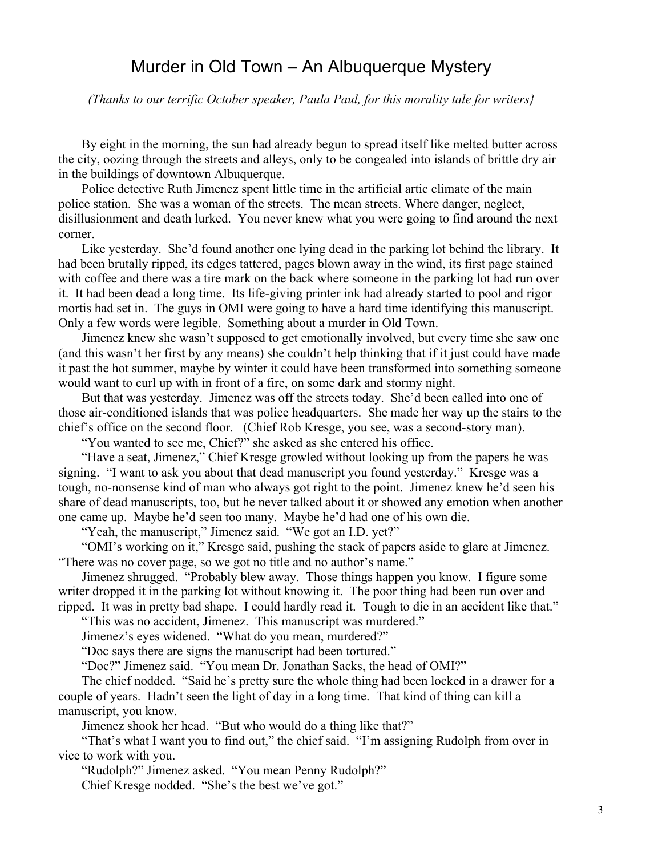# Murder in Old Town  $-$  An Albuquerque Mystery

*(Thanks to our terrific October speaker, Paula Paul, for this morality tale for writers}*

By eight in the morning, the sun had already begun to spread itself like melted butter across the city, oozing through the streets and alleys, only to be congealed into islands of brittle dry air in the buildings of downtown Albuquerque.

Police detective Ruth Jimenez spent little time in the artificial artic climate of the main police station. She was a woman of the streets. The mean streets. Where danger, neglect, disillusionment and death lurked. You never knew what you were going to find around the next corner.

Like yesterday. She'd found another one lying dead in the parking lot behind the library. It had been brutally ripped, its edges tattered, pages blown away in the wind, its first page stained with coffee and there was a tire mark on the back where someone in the parking lot had run over it. It had been dead a long time. Its life-giving printer ink had already started to pool and rigor mortis had set in. The guys in OMI were going to have a hard time identifying this manuscript. Only a few words were legible. Something about a murder in Old Town.

Jimenez knew she wasn't supposed to get emotionally involved, but every time she saw one (and this wasn't her first by any means) she couldn't help thinking that if it just could have made it past the hot summer, maybe by winter it could have been transformed into something someone would want to curl up with in front of a fire, on some dark and stormy night.

But that was yesterday. Jimenez was off the streets today. She'd been called into one of those air-conditioned islands that was police headquarters. She made her way up the stairs to the chief's office on the second floor. (Chief Rob Kresge, you see, was a second-story man).

"You wanted to see me, Chief?" she asked as she entered his office.

"Have a seat, Jimenez," Chief Kresge growled without looking up from the papers he was signing. "I want to ask you about that dead manuscript you found yesterday." Kresge was a tough, no-nonsense kind of man who always got right to the point. Jimenez knew he'd seen his share of dead manuscripts, too, but he never talked about it or showed any emotion when another one came up. Maybe he'd seen too many. Maybe he'd had one of his own die.

"Yeah, the manuscript," Jimenez said. "We got an I.D. yet?"

"OMI's working on it," Kresge said, pushing the stack of papers aside to glare at Jimenez. "There was no cover page, so we got no title and no author's name."

Jimenez shrugged. "Probably blew away. Those things happen you know. I figure some writer dropped it in the parking lot without knowing it. The poor thing had been run over and ripped. It was in pretty bad shape. I could hardly read it. Tough to die in an accident like that."

"This was no accident, Jimenez. This manuscript was murdered."

Jimenez's eyes widened. "What do you mean, murdered?"

"Doc says there are signs the manuscript had been tortured."

"Doc?" Jimenez said. "You mean Dr. Jonathan Sacks, the head of OMI?"

The chief nodded. "Said he's pretty sure the whole thing had been locked in a drawer for a couple of years. Hadn't seen the light of day in a long time. That kind of thing can kill a manuscript, you know.

Jimenez shook her head. "But who would do a thing like that?"

"That's what I want you to find out," the chief said. "I'm assigning Rudolph from over in vice to work with you.

"Rudolph?" Jimenez asked. "You mean Penny Rudolph?"

Chief Kresge nodded. "She's the best we've got."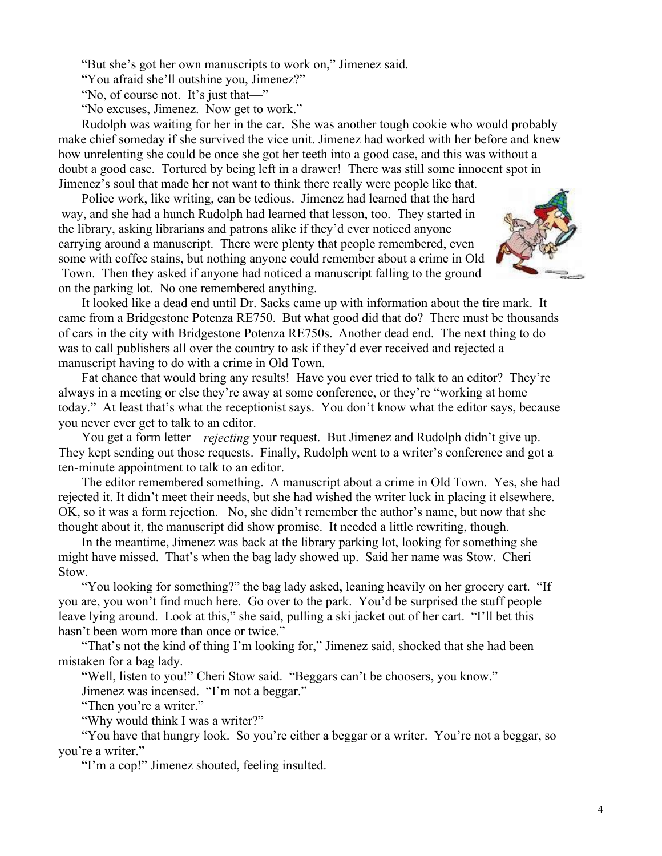"But she's got her own manuscripts to work on," Jimenez said.

"You afraid she'll outshine you, Jimenez?"

"No, of course not. It's just that $\equiv$ "

"No excuses, Jimenez. Now get to work."

Rudolph was waiting for her in the car. She was another tough cookie who would probably make chief someday if she survived the vice unit. Jimenez had worked with her before and knew how unrelenting she could be once she got her teeth into a good case, and this was without a doubt a good case. Tortured by being left in a drawer! There was still some innocent spot in Jimenez's soul that made her not want to think there really were people like that.

Police work, like writing, can be tedious. Jimenez had learned that the hard way, and she had a hunch Rudolph had learned that lesson, too. They started in the library, asking librarians and patrons alike if they'd ever noticed anyone carrying around a manuscript. There were plenty that people remembered, even some with coffee stains, but nothing anyone could remember about a crime in Old Town. Then they asked if anyone had noticed a manuscript falling to the ground on the parking lot. No one remembered anything.



It looked like a dead end until Dr. Sacks came up with information about the tire mark. It came from a Bridgestone Potenza RE750. But what good did that do? There must be thousands of cars in the city with Bridgestone Potenza RE750s. Another dead end. The next thing to do was to call publishers all over the country to ask if they'd ever received and rejected a manuscript having to do with a crime in Old Town.

Fat chance that would bring any results! Have you ever tried to talk to an editor? They're always in a meeting or else they're away at some conference, or they're "working at home today." At least that's what the receptionist says. You don't know what the editor says, because you never ever get to talk to an editor.

You get a form letter—*rejecting* your request. But Jimenez and Rudolph didn't give up. They kept sending out those requests. Finally, Rudolph went to a writer's conference and got a ten-minute appointment to talk to an editor.

The editor remembered something. A manuscript about a crime in Old Town. Yes, she had rejected it. It didn't meet their needs, but she had wished the writer luck in placing it elsewhere. OK, so it was a form rejection. No, she didn't remember the author's name, but now that she thought about it, the manuscript did show promise. It needed a little rewriting, though.

In the meantime, Jimenez was back at the library parking lot, looking for something she might have missed. That's when the bag lady showed up. Said her name was Stow. Cheri Stow.

"You looking for something?" the bag lady asked, leaning heavily on her grocery cart. "If you are, you won't find much here. Go over to the park. You'd be surprised the stuff people leave lying around. Look at this," she said, pulling a ski jacket out of her cart. "I'll bet this hasn't been worn more than once or twice."

"That's not the kind of thing I'm looking for," Jimenez said, shocked that she had been mistaken for a bag lady.

"Well, listen to you!" Cheri Stow said. "Beggars can't be choosers, you know."

Jimenez was incensed. "I'm not a beggar."

"Then you're a writer."

"Why would think I was a writer?"

"You have that hungry look. So you're either a beggar or a writer. You're not a beggar, so you're a writer."

"I'm a cop!" Jimenez shouted, feeling insulted.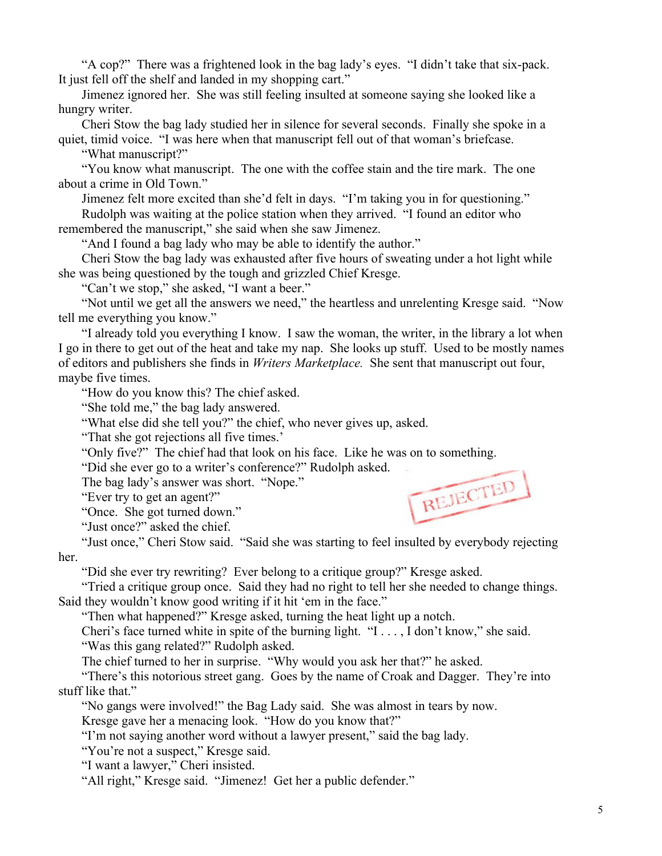"A cop?" There was a frightened look in the bag lady's eyes. "I didn't take that six-pack. It just fell off the shelf and landed in my shopping cart."

Jimenez ignored her. She was still feeling insulted at someone saying she looked like a hungry writer.

Cheri Stow the bag lady studied her in silence for several seconds. Finally she spoke in a quiet, timid voice. "I was here when that manuscript fell out of that woman's briefcase.

"What manuscript?"

³You know what manuscript. The one with the coffee stain and the tire mark. The one about a crime in Old Town."

Jimenez felt more excited than she'd felt in days. "I'm taking you in for questioning."

Rudolph was waiting at the police station when they arrived. "I found an editor who remembered the manuscript," she said when she saw Jimenez.

"And I found a bag lady who may be able to identify the author."

Cheri Stow the bag lady was exhausted after five hours of sweating under a hot light while she was being questioned by the tough and grizzled Chief Kresge.

"Can't we stop," she asked, "I want a beer."

"Not until we get all the answers we need," the heartless and unrelenting Kresge said. "Now tell me everything you know.´

³I already told you everything I know. I saw the woman, the writer, in the library a lot when I go in there to get out of the heat and take my nap. She looks up stuff. Used to be mostly names of editors and publishers she finds in *Writers Marketplace.* She sent that manuscript out four, maybe five times.

"How do you know this? The chief asked.

"She told me," the bag lady answered.

"What else did she tell you?" the chief, who never gives up, asked.

"That she got rejections all five times."

³Only five?´ The chief had that look on his face. Like he was on to something.

"Did she ever go to a writer's conference?" Rudolph asked.

The bag lady's answer was short. "Nope."

"Ever try to get an agent?"

"Once. She got turned down."

"Just once?" asked the chief.



"Just once," Cheri Stow said. "Said she was starting to feel insulted by everybody rejecting her.

"Did she ever try rewriting? Ever belong to a critique group?" Kresge asked.

³Tried a critique group once. Said they had no right to tell her she needed to change things. Said they wouldn't know good writing if it hit 'em in the face."

"Then what happened?" Kresge asked, turning the heat light up a notch.

Cheri¶s face turned white in spite of the burning light. ³I . . . , I don¶t know,´ she said. "Was this gang related?" Rudolph asked.

The chief turned to her in surprise. "Why would you ask her that?" he asked.

"There's this notorious street gang. Goes by the name of Croak and Dagger. They're into stuff like that."

"No gangs were involved!" the Bag Lady said. She was almost in tears by now.

Kresge gave her a menacing look. "How do you know that?"

"I'm not saying another word without a lawyer present," said the bag lady.

"You're not a suspect," Kresge said.

"I want a lawyer," Cheri insisted.

"All right," Kresge said. "Jimenez! Get her a public defender."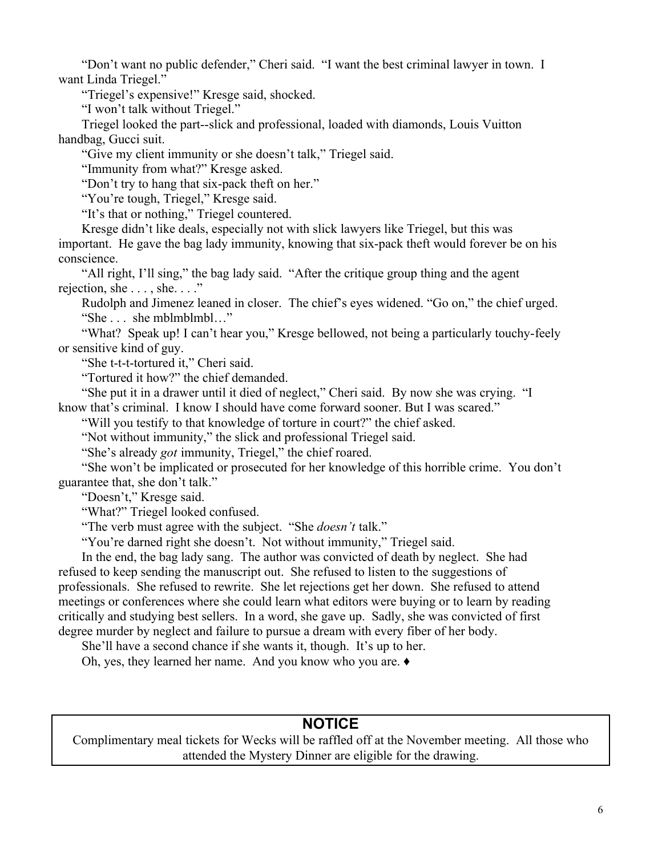"Don't want no public defender," Cheri said. "I want the best criminal lawyer in town. I want Linda Triegel."

"Triegel's expensive!" Kresge said, shocked.

"I won't talk without Triegel."

Triegel looked the part--slick and professional, loaded with diamonds, Louis Vuitton handbag, Gucci suit.

"Give my client immunity or she doesn't talk," Triegel said.

"Immunity from what?" Kresge asked.

"Don't try to hang that six-pack theft on her."

"You're tough, Triegel," Kresge said.

"It's that or nothing," Triegel countered.

Kresge didn't like deals, especially not with slick lawyers like Triegel, but this was important. He gave the bag lady immunity, knowing that six-pack theft would forever be on his conscience.

"All right, I'll sing," the bag lady said. "After the critique group thing and the agent rejection, she  $\dots$ , she  $\dots$ .

Rudolph and Jimenez leaned in closer. The chief's eyes widened. "Go on," the chief urged. "She  $\ldots$  she mblmblmbl $\ldots$ "

"What? Speak up! I can't hear you," Kresge bellowed, not being a particularly touchy-feely or sensitive kind of guy.

"She t-t-t-tortured it," Cheri said.

"Tortured it how?" the chief demanded.

"She put it in a drawer until it died of neglect," Cheri said. By now she was crying. "I know that's criminal. I know I should have come forward sooner. But I was scared.<sup>\*</sup>

"Will you testify to that knowledge of torture in court?" the chief asked.

"Not without immunity," the slick and professional Triegel said.

"She's already *got* immunity, Triegel," the chief roared.

"She won't be implicated or prosecuted for her knowledge of this horrible crime. You don't guarantee that, she don't talk."

"Doesn't," Kresge said.

"What?" Triegel looked confused.

"The verb must agree with the subject. "She *doesn't* talk."

"You're darned right she doesn't. Not without immunity," Triegel said.

In the end, the bag lady sang. The author was convicted of death by neglect. She had refused to keep sending the manuscript out. She refused to listen to the suggestions of professionals. She refused to rewrite. She let rejections get her down. She refused to attend meetings or conferences where she could learn what editors were buying or to learn by reading critically and studying best sellers. In a word, she gave up. Sadly, she was convicted of first degree murder by neglect and failure to pursue a dream with every fiber of her body.

She'll have a second chance if she wants it, though. It's up to her.

Oh, yes, they learned her name. And you know who you are.  $\triangleleft$ 

### **NOTICE**

Complimentary meal tickets for Wecks will be raffled off at the November meeting. All those who attended the Mystery Dinner are eligible for the drawing.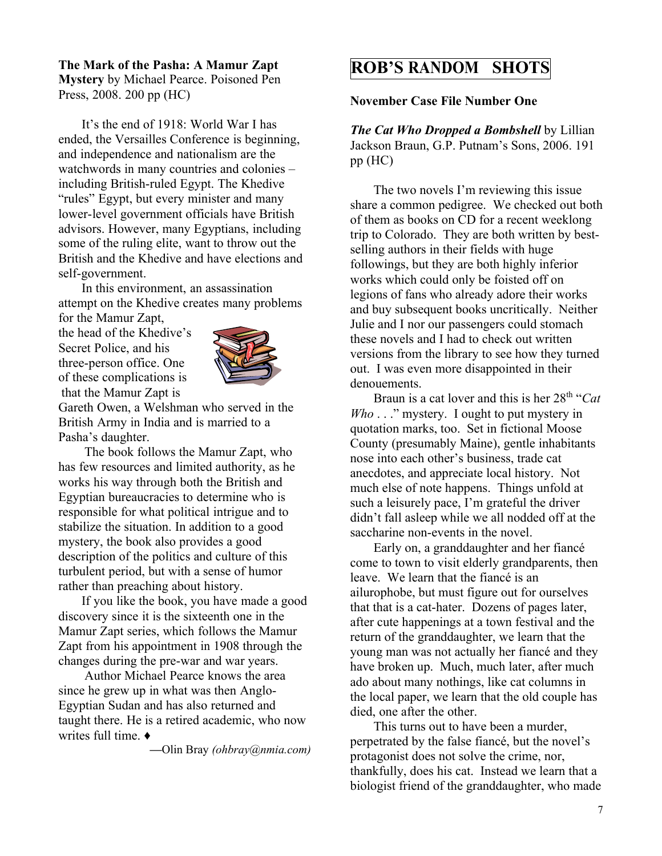#### **The Mark of the Pasha: A Mamur Zapt Mystery** by Michael Pearce. Poisoned Pen Press, 2008. 200 pp (HC)

It's the end of 1918: World War I has ended, the Versailles Conference is beginning, and independence and nationalism are the watchwords in many countries and colonies  $$ including British-ruled Egypt. The Khedive "rules" Egypt, but every minister and many lower-level government officials have British advisors. However, many Egyptians, including some of the ruling elite, want to throw out the British and the Khedive and have elections and self-government.

In this environment, an assassination attempt on the Khedive creates many problems

for the Mamur Zapt, the head of the Khedive's Secret Police, and his three-person office. One of these complications is that the Mamur Zapt is



Gareth Owen, a Welshman who served in the British Army in India and is married to a Pasha's daughter.

 The book follows the Mamur Zapt, who has few resources and limited authority, as he works his way through both the British and Egyptian bureaucracies to determine who is responsible for what political intrigue and to stabilize the situation. In addition to a good mystery, the book also provides a good description of the politics and culture of this turbulent period, but with a sense of humor rather than preaching about history.

If you like the book, you have made a good discovery since it is the sixteenth one in the Mamur Zapt series, which follows the Mamur Zapt from his appointment in 1908 through the changes during the pre-war and war years.

 Author Michael Pearce knows the area since he grew up in what was then Anglo-Egyptian Sudan and has also returned and taught there. He is a retired academic, who now writes full time.  $\triangleleft$ 

**²**Olin Bray *(ohbray@nmia.com)*

# **ROB¶S RANDOM SHOTS**

**November Case File Number One**

*The Cat Who Dropped a Bombshell* by Lillian Jackson Braun, G.P. Putnam's Sons, 2006. 191 pp (HC)

The two novels I'm reviewing this issue share a common pedigree. We checked out both of them as books on CD for a recent weeklong trip to Colorado. They are both written by bestselling authors in their fields with huge followings, but they are both highly inferior works which could only be foisted off on legions of fans who already adore their works and buy subsequent books uncritically. Neither Julie and I nor our passengers could stomach these novels and I had to check out written versions from the library to see how they turned out. I was even more disappointed in their denouements.

Braun is a cat lover and this is her 28<sup>th</sup> "Cat *Who* . . ." mystery. I ought to put mystery in quotation marks, too. Set in fictional Moose County (presumably Maine), gentle inhabitants nose into each other's business, trade cat anecdotes, and appreciate local history. Not much else of note happens. Things unfold at such a leisurely pace, I'm grateful the driver didn't fall asleep while we all nodded off at the saccharine non-events in the novel.

Early on, a granddaughter and her fiancé come to town to visit elderly grandparents, then leave. We learn that the fiancé is an ailurophobe, but must figure out for ourselves that that is a cat-hater. Dozens of pages later, after cute happenings at a town festival and the return of the granddaughter, we learn that the young man was not actually her fiancé and they have broken up. Much, much later, after much ado about many nothings, like cat columns in the local paper, we learn that the old couple has died, one after the other.

This turns out to have been a murder, perpetrated by the false fiance, but the novel's protagonist does not solve the crime, nor, thankfully, does his cat. Instead we learn that a biologist friend of the granddaughter, who made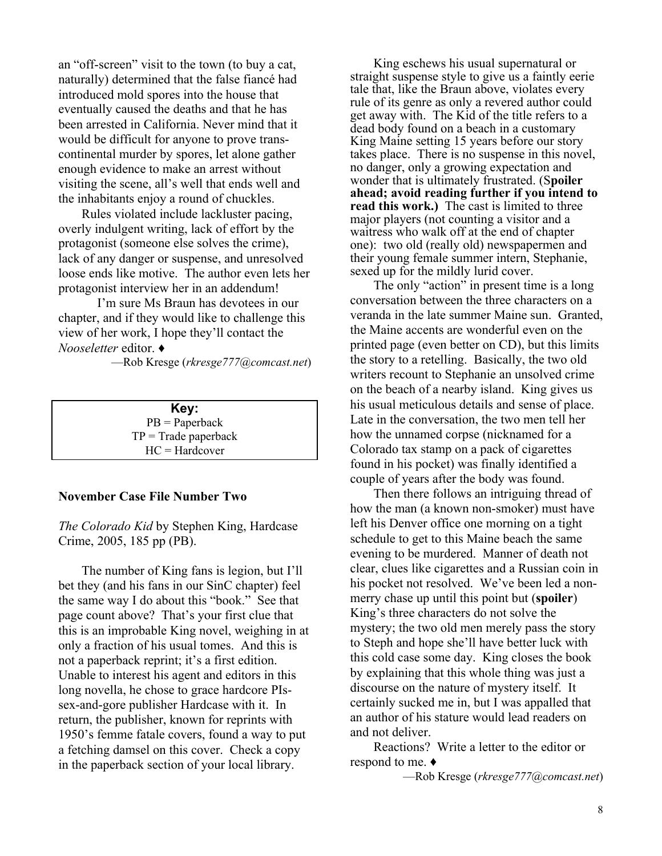an "off-screen" visit to the town (to buy a cat, naturally) determined that the false fiancé had introduced mold spores into the house that eventually caused the deaths and that he has been arrested in California. Never mind that it would be difficult for anyone to prove transcontinental murder by spores, let alone gather enough evidence to make an arrest without visiting the scene, all's well that ends well and the inhabitants enjoy a round of chuckles.

Rules violated include lackluster pacing, overly indulgent writing, lack of effort by the protagonist (someone else solves the crime), lack of any danger or suspense, and unresolved loose ends like motive. The author even lets her protagonist interview her in an addendum!

I'm sure Ms Braun has devotees in our chapter, and if they would like to challenge this view of her work, I hope they'll contact the *Nooseletter* editor. Ƈ

²Rob Kresge (*rkresge777@comcast.net*)

**Key:** PB = Paperback  $TP = Trade$  paperback HC = Hardcover

#### **November Case File Number Two**

*The Colorado Kid* by Stephen King, Hardcase Crime, 2005, 185 pp (PB).

The number of King fans is legion, but I'll bet they (and his fans in our SinC chapter) feel the same way I do about this "book." See that page count above? That's your first clue that this is an improbable King novel, weighing in at only a fraction of his usual tomes. And this is not a paperback reprint; it's a first edition. Unable to interest his agent and editors in this long novella, he chose to grace hardcore PIssex-and-gore publisher Hardcase with it. In return, the publisher, known for reprints with 1950's femme fatale covers, found a way to put a fetching damsel on this cover. Check a copy in the paperback section of your local library.

King eschews his usual supernatural or straight suspense style to give us a faintly eerie tale that, like the Braun above, violates every rule of its genre as only a revered author could get away with. The Kid of the title refers to a dead body found on a beach in a customary King Maine setting 15 years before our story takes place. There is no suspense in this novel, no danger, only a growing expectation and wonder that is ultimately frustrated. (S**poiler ahead; avoid reading further if you intend to read this work.)** The cast is limited to three major players (not counting a visitor and a waitress who walk off at the end of chapter one): two old (really old) newspapermen and their young female summer intern, Stephanie, sexed up for the mildly lurid cover.

The only "action" in present time is a long conversation between the three characters on a veranda in the late summer Maine sun. Granted, the Maine accents are wonderful even on the printed page (even better on CD), but this limits the story to a retelling. Basically, the two old writers recount to Stephanie an unsolved crime on the beach of a nearby island. King gives us his usual meticulous details and sense of place. Late in the conversation, the two men tell her how the unnamed corpse (nicknamed for a Colorado tax stamp on a pack of cigarettes found in his pocket) was finally identified a couple of years after the body was found.

Then there follows an intriguing thread of how the man (a known non-smoker) must have left his Denver office one morning on a tight schedule to get to this Maine beach the same evening to be murdered. Manner of death not clear, clues like cigarettes and a Russian coin in his pocket not resolved. We've been led a nonmerry chase up until this point but (**spoiler**) King's three characters do not solve the mystery; the two old men merely pass the story to Steph and hope she'll have better luck with this cold case some day. King closes the book by explaining that this whole thing was just a discourse on the nature of mystery itself. It certainly sucked me in, but I was appalled that an author of his stature would lead readers on and not deliver.

Reactions? Write a letter to the editor or respond to me.  $\triangleleft$ 

²Rob Kresge (*rkresge777@comcast.net*)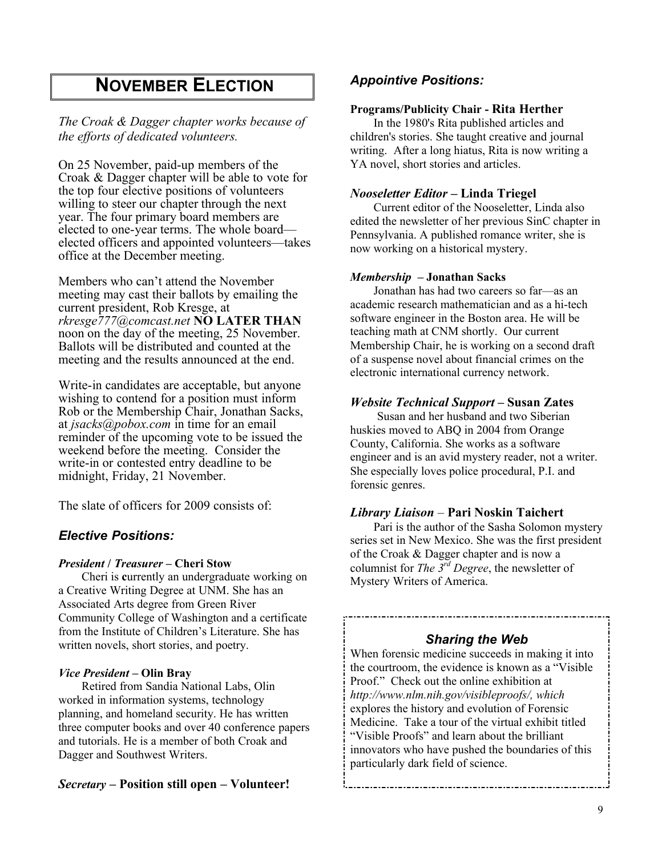# **NOVEMBER ELECTION**

*The Croak & Dagger chapter works because of the efforts of dedicated volunteers.*

On 25 November, paid-up members of the Croak & Dagger chapter will be able to vote for the top four elective positions of volunteers willing to steer our chapter through the next year. The four primary board members are elected to one-year terms. The whole board elected officers and appointed volunteers—takes office at the December meeting.

Members who can't attend the November meeting may cast their ballots by emailing the current president, Rob Kresge, at *rkresge777@comcast.net* **NO LATER THAN** noon on the day of the meeting, 25 November. Ballots will be distributed and counted at the meeting and the results announced at the end.

Write-in candidates are acceptable, but anyone wishing to contend for a position must inform Rob or the Membership Chair, Jonathan Sacks, at *jsacks@pobox.com* in time for an email reminder of the upcoming vote to be issued the weekend before the meeting. Consider the write-in or contested entry deadline to be midnight, Friday, 21 November.

The slate of officers for 2009 consists of:

#### *Elective Positions:*

#### *President* **/** *Treasurer* **± Cheri Stow**

Cheri is **c**urrently an undergraduate working on a Creative Writing Degree at UNM. She has an Associated Arts degree from Green River Community College of Washington and a certificate from the Institute of Children's Literature. She has written novels, short stories, and poetry.

#### *Vice President* **± Olin Bray**

Retired from Sandia National Labs, Olin worked in information systems, technology planning, and homeland security. He has written three computer books and over 40 conference papers and tutorials. He is a member of both Croak and Dagger and Southwest Writers.

#### *Secretary* **± Position still open ± Volunteer!**

#### *Appointive Positions:*

#### **Programs/Publicity Chair - Rita Herther**

In the 1980's Rita published articles and children's stories. She taught creative and journal writing. After a long hiatus, Rita is now writing a YA novel, short stories and articles.

#### *Nooseletter Editor* **± Linda Triegel**

Current editor of the Nooseletter, Linda also edited the newsletter of her previous SinC chapter in Pennsylvania. A published romance writer, she is now working on a historical mystery.

#### *Membership* **± Jonathan Sacks**

Jonathan has had two careers so far—as an academic research mathematician and as a hi-tech software engineer in the Boston area. He will be teaching math at CNM shortly. Our current Membership Chair, he is working on a second draft of a suspense novel about financial crimes on the electronic international currency network.

#### *Website Technical Support* **± Susan Zates**

 Susan and her husband and two Siberian huskies moved to ABQ in 2004 from Orange County, California. She works as a software engineer and is an avid mystery reader, not a writer. She especially loves police procedural, P.I. and forensic genres.

#### *Library Liaison* – Pari Noskin Taichert

Pari is the author of the Sasha Solomon mystery series set in New Mexico. She was the first president of the Croak & Dagger chapter and is now a columnist for *The 3 rd Degree*, the newsletter of Mystery Writers of America.

#### *Sharing the Web*

When forensic medicine succeeds in making it into the courtroom, the evidence is known as a "Visible" Proof." Check out the online exhibition at *[http://www.nlm.nih.gov/visibleproofs/,](http://www.nlm.nih.gov/visibleproofs/) which*  explores the history and evolution of Forensic Medicine. Take a tour of the virtual exhibit titled ³Visible Proofs´ and learn about the brilliant innovators who have pushed the boundaries of this particularly dark field of science.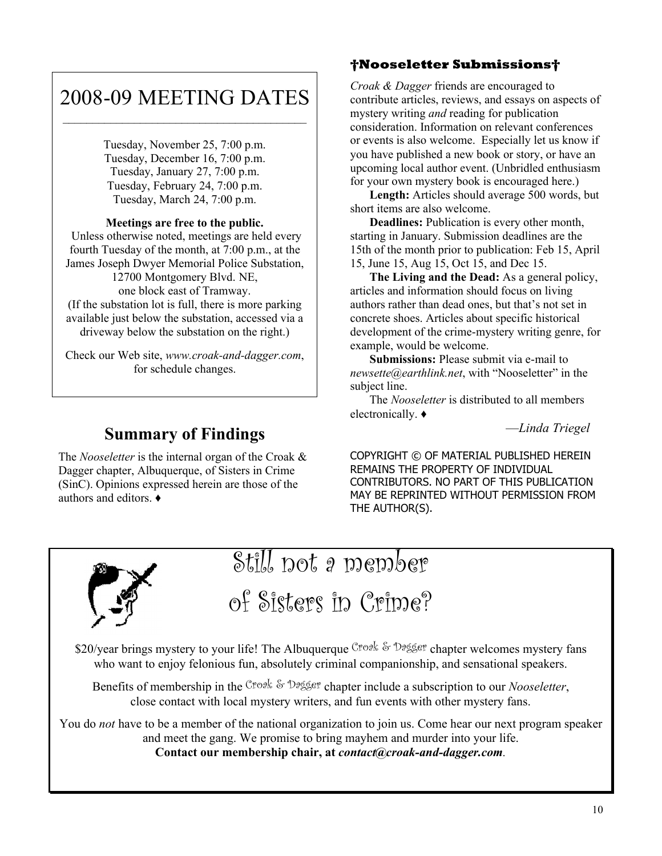# 2008-09 MEETING DATES

Tuesday, November 25, 7:00 p.m. Tuesday, December 16, 7:00 p.m. Tuesday, January 27, 7:00 p.m. Tuesday, February 24, 7:00 p.m. Tuesday, March 24, 7:00 p.m.

#### **Meetings are free to the public.**

 Unless otherwise noted, meetings are held every fourth Tuesday of the month, at 7:00 p.m., at the James Joseph Dwyer Memorial Police Substation, 12700 Montgomery Blvd. NE, one block east of Tramway. (If the substation lot is full, there is more parking available just below the substation, accessed via a driveway below the substation on the right.)

Check our Web site, *www.croak-and-dagger.com*, for schedule changes.

# **Summary of Findings**

The *Nooseletter* is the internal organ of the Croak & Dagger chapter, Albuquerque, of Sisters in Crime (SinC). Opinions expressed herein are those of the authors and editors  $\triangle$ 

### **Nooseletter Submissions**

*Croak & Dagger* friends are encouraged to contribute articles, reviews, and essays on aspects of mystery writing *and* reading for publication consideration. Information on relevant conferences or events is also welcome. Especially let us know if you have published a new book or story, or have an upcoming local author event. (Unbridled enthusiasm for your own mystery book is encouraged here.)

**Length:** Articles should average 500 words, but short items are also welcome.

**Deadlines:** Publication is every other month, starting in January. Submission deadlines are the 15th of the month prior to publication: Feb 15, April 15, June 15, Aug 15, Oct 15, and Dec 15.

**The Living and the Dead:** As a general policy, articles and information should focus on living authors rather than dead ones, but that's not set in concrete shoes. Articles about specific historical development of the crime-mystery writing genre, for example, would be welcome.

**Submissions:** Please submit via e-mail to *newsette@earthlink.net.* with "Nooseletter" in the subject line.

The *Nooseletter* is distributed to all members electronically.  $\triangleleft$ 

²*Linda Triegel*

COPYRIGHT © OF MATERIAL PUBLISHED HEREIN REMAINS THE PROPERTY OF INDIVIDUAL CONTRIBUTORS. NO PART OF THIS PUBLICATION MAY BE REPRINTED WITHOUT PERMISSION FROM THE AUTHOR(S).



# Still not a member

of Sisters in Crime?

\$20/year brings mystery to your life! The Albuquerque Croak & Dagger chapter welcomes mystery fans who want to enjoy felonious fun, absolutely criminal companionship, and sensational speakers.

Benefits of membership in the Croak & Dagger chapter include a subscription to our *Nooseletter*, close contact with local mystery writers, and fun events with other mystery fans.

You do *not* have to be a member of the national organization to join us. Come hear our next program speaker and meet the gang. We promise to bring mayhem and murder into your life. **Contact our membership chair, at** *contact@croak-and-dagger.com.*